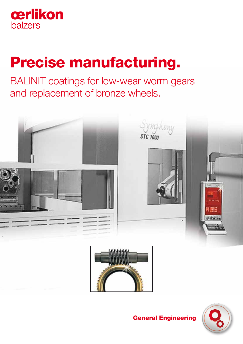

# Precise manufacturing.

BALINIT coatings for low-wear worm gears and replacement of bronze wheels.